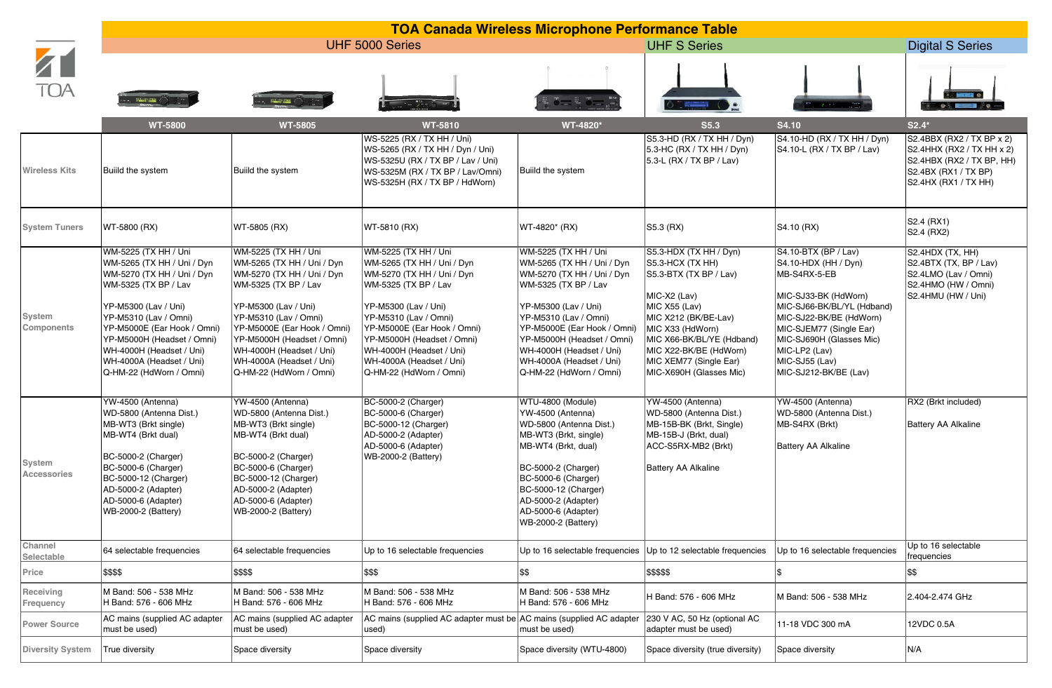|                              | <b>TOA Canada Wireless Microphone Performance Table</b>                                                                                                                                                                                                                                                   |                                                                                                                                                                                                                                                                                                           |                                                                                                                                                                                                                                                                                                           |                                                                                                                                                                                                                                                                                                           |                                                                                                                                                                                                                                                                                                                                                                                                                          |                                                                                                                                                                                                                                                                  |                                                                                                                                     |  |
|------------------------------|-----------------------------------------------------------------------------------------------------------------------------------------------------------------------------------------------------------------------------------------------------------------------------------------------------------|-----------------------------------------------------------------------------------------------------------------------------------------------------------------------------------------------------------------------------------------------------------------------------------------------------------|-----------------------------------------------------------------------------------------------------------------------------------------------------------------------------------------------------------------------------------------------------------------------------------------------------------|-----------------------------------------------------------------------------------------------------------------------------------------------------------------------------------------------------------------------------------------------------------------------------------------------------------|--------------------------------------------------------------------------------------------------------------------------------------------------------------------------------------------------------------------------------------------------------------------------------------------------------------------------------------------------------------------------------------------------------------------------|------------------------------------------------------------------------------------------------------------------------------------------------------------------------------------------------------------------------------------------------------------------|-------------------------------------------------------------------------------------------------------------------------------------|--|
| TOA                          | UHF 5000 Series                                                                                                                                                                                                                                                                                           |                                                                                                                                                                                                                                                                                                           |                                                                                                                                                                                                                                                                                                           | <b>UHF S Series</b>                                                                                                                                                                                                                                                                                       |                                                                                                                                                                                                                                                                                                                                                                                                                          |                                                                                                                                                                                                                                                                  | <b>Digital S Series</b>                                                                                                             |  |
|                              |                                                                                                                                                                                                                                                                                                           | William Y                                                                                                                                                                                                                                                                                                 |                                                                                                                                                                                                                                                                                                           |                                                                                                                                                                                                                                                                                                           | $\begin{array}{c c c c c} \hline \textbf{1} & \textbf{1} & \textbf{1} & \textbf{1} & \textbf{1} & \textbf{1} & \textbf{1} & \textbf{1} & \textbf{1} & \textbf{1} & \textbf{1} & \textbf{1} & \textbf{1} & \textbf{1} & \textbf{1} & \textbf{1} & \textbf{1} & \textbf{1} & \textbf{1} & \textbf{1} & \textbf{1} & \textbf{1} & \textbf{1} & \textbf{1} & \textbf{1} & \textbf{1} & \textbf{1} & \textbf{1} & \textbf{1}$ | 2.750                                                                                                                                                                                                                                                            | OR A ALA                                                                                                                            |  |
|                              | <b>WT-5800</b>                                                                                                                                                                                                                                                                                            | <b>WT-5805</b>                                                                                                                                                                                                                                                                                            | <b>WT-5810</b>                                                                                                                                                                                                                                                                                            | WT-4820*                                                                                                                                                                                                                                                                                                  | <b>S5.3</b>                                                                                                                                                                                                                                                                                                                                                                                                              | S4.10                                                                                                                                                                                                                                                            | $S2.4*$                                                                                                                             |  |
| <b>Wireless Kits</b>         | Build the system                                                                                                                                                                                                                                                                                          | Build the system                                                                                                                                                                                                                                                                                          | WS-5225 (RX / TX HH / Uni)<br>WS-5265 (RX / TX HH / Dyn / Uni)<br>WS-5325U (RX / TX BP / Lav / Uni)<br>WS-5325M (RX / TX BP / Lav/Omni)<br>WS-5325H (RX / TX BP / HdWorn)                                                                                                                                 | Builld the system                                                                                                                                                                                                                                                                                         | S5.3-HD (RX / TX HH / Dyn)<br>5.3-HC (RX / TX HH / Dyn)<br>5.3-L (RX / TX BP / Lav)                                                                                                                                                                                                                                                                                                                                      | S4.10-HD (RX / TX HH / Dyn)<br>S4.10-L (RX / TX BP / Lav)                                                                                                                                                                                                        | S2.4BBX (RX2 / TX BP x 2)<br>S2.4HHX (RX2 / TX HH x 2)<br>S2.4HBX (RX2 / TX BP, HH)<br>S2.4BX (RX1 / TX BP)<br>S2.4HX (RX1 / TX HH) |  |
| <b>System Tuners</b>         | WT-5800 (RX)                                                                                                                                                                                                                                                                                              | WT-5805 (RX)                                                                                                                                                                                                                                                                                              | WT-5810 (RX)                                                                                                                                                                                                                                                                                              | WT-4820* (RX)                                                                                                                                                                                                                                                                                             | S5.3 (RX)                                                                                                                                                                                                                                                                                                                                                                                                                | S4.10 (RX)                                                                                                                                                                                                                                                       | S2.4 (RX1)<br>S2.4 (RX2)                                                                                                            |  |
| System<br>Components         | WM-5225 (TX HH / Uni<br>WM-5265 (TX HH / Uni / Dyn<br>WM-5270 (TX HH / Uni / Dyn<br>WM-5325 (TX BP / Lav<br>YP-M5300 (Lav / Uni)<br>YP-M5310 (Lav / Omni)<br>YP-M5000E (Ear Hook / Omni)<br>YP-M5000H (Headset / Omni)<br>WH-4000H (Headset / Uni)<br>WH-4000A (Headset / Uni)<br>Q-HM-22 (HdWorn / Omni) | WM-5225 (TX HH / Uni<br>WM-5265 (TX HH / Uni / Dyn<br>WM-5270 (TX HH / Uni / Dyn<br>WM-5325 (TX BP / Lav<br>YP-M5300 (Lav / Uni)<br>YP-M5310 (Lav / Omni)<br>YP-M5000E (Ear Hook / Omni)<br>YP-M5000H (Headset / Omni)<br>WH-4000H (Headset / Uni)<br>WH-4000A (Headset / Uni)<br>Q-HM-22 (HdWorn / Omni) | WM-5225 (TX HH / Uni<br>WM-5265 (TX HH / Uni / Dyn<br>WM-5270 (TX HH / Uni / Dyn<br>WM-5325 (TX BP / Lav<br>YP-M5300 (Lav / Uni)<br>YP-M5310 (Lav / Omni)<br>YP-M5000E (Ear Hook / Omni)<br>YP-M5000H (Headset / Omni)<br>WH-4000H (Headset / Uni)<br>WH-4000A (Headset / Uni)<br>Q-HM-22 (HdWorn / Omni) | WM-5225 (TX HH / Uni<br>WM-5265 (TX HH / Uni / Dyn<br>WM-5270 (TX HH / Uni / Dyn<br>WM-5325 (TX BP / Lav<br>YP-M5300 (Lav / Uni)<br>YP-M5310 (Lav / Omni)<br>YP-M5000E (Ear Hook / Omni)<br>YP-M5000H (Headset / Omni)<br>WH-4000H (Headset / Uni)<br>WH-4000A (Headset / Uni)<br>Q-HM-22 (HdWorn / Omni) | S5.3-HDX (TX HH / Dyn)<br>S5.3-HCX (TX HH)<br>S5.3-BTX (TX BP / Lav)<br>MIC-X2 (Lav)<br>MIC X55 (Lav)<br>MIC X212 (BK/BE-Lav)<br>MIC X33 (HdWorn)<br>MIC X66-BK/BL/YE (Hdband)<br>MIC X22-BK/BE (HdWorn)<br>MIC XEM77 (Single Ear)<br>MIC-X690H (Glasses Mic)                                                                                                                                                            | S4.10-BTX (BP / Lav)<br>S4.10-HDX (HH / Dyn)<br>MB-S4RX-5-EB<br>MIC-SJ33-BK (HdWorn)<br>MIC-SJ66-BK/BL/YL (Hdband)<br>MIC-SJ22-BK/BE (HdWorn)<br>MIC-SJEM77 (Single Ear)<br>MIC-SJ690H (Glasses Mic)<br>MIC-LP2 (Lav)<br>MIC-SJ55 (Lav)<br>MIC-SJ212-BK/BE (Lav) | S2.4HDX (TX, HH)<br>S2.4BTX (TX, BP / Lav)<br>S2.4LMO (Lav / Omni)<br>S2.4HMO (HW / Omni)<br>S2.4HMU (HW / Uni)                     |  |
| System<br><b>Accessories</b> | YW-4500 (Antenna)<br>WD-5800 (Antenna Dist.)<br>MB-WT3 (Brkt single)<br>MB-WT4 (Brkt dual)<br>BC-5000-2 (Charger)<br>BC-5000-6 (Charger)<br>BC-5000-12 (Charger)<br>AD-5000-2 (Adapter)<br>AD-5000-6 (Adapter)<br>WB-2000-2 (Battery)                                                                     | YW-4500 (Antenna)<br>WD-5800 (Antenna Dist.)<br>MB-WT3 (Brkt single)<br>MB-WT4 (Brkt dual)<br>BC-5000-2 (Charger)<br>BC-5000-6 (Charger)<br>BC-5000-12 (Charger)<br>AD-5000-2 (Adapter)<br>AD-5000-6 (Adapter)<br>WB-2000-2 (Battery)                                                                     | BC-5000-2 (Charger)<br>BC-5000-6 (Charger)<br>BC-5000-12 (Charger)<br>AD-5000-2 (Adapter)<br>AD-5000-6 (Adapter)<br>WB-2000-2 (Battery)                                                                                                                                                                   | WTU-4800 (Module)<br>YW-4500 (Antenna)<br>WD-5800 (Antenna Dist.)<br>MB-WT3 (Brkt, single)<br>MB-WT4 (Brkt, dual)<br>BC-5000-2 (Charger)<br>BC-5000-6 (Charger)<br>BC-5000-12 (Charger)<br>AD-5000-2 (Adapter)<br>AD-5000-6 (Adapter)<br>WB-2000-2 (Battery)                                              | YW-4500 (Antenna)<br>WD-5800 (Antenna Dist.)<br>MB-15B-BK (Brkt, Single)<br>MB-15B-J (Brkt, dual)<br>ACC-S5RX-MB2 (Brkt)<br><b>Battery AA Alkaline</b>                                                                                                                                                                                                                                                                   | YW-4500 (Antenna)<br>WD-5800 (Antenna Dist.)<br>MB-S4RX (Brkt)<br><b>Battery AA Alkaline</b>                                                                                                                                                                     | RX2 (Brkt included)<br><b>Battery AA Alkaline</b>                                                                                   |  |
| Channel<br>Selectable        | 64 selectable frequencies                                                                                                                                                                                                                                                                                 | 64 selectable frequencies                                                                                                                                                                                                                                                                                 | Up to 16 selectable frequencies                                                                                                                                                                                                                                                                           | Up to 16 selectable frequencies                                                                                                                                                                                                                                                                           | Up to 12 selectable frequencies                                                                                                                                                                                                                                                                                                                                                                                          | Up to 16 selectable frequencies                                                                                                                                                                                                                                  | Up to 16 selectable<br>frequencies                                                                                                  |  |
| Price                        | \$\$\$\$                                                                                                                                                                                                                                                                                                  | 5\$\$\$                                                                                                                                                                                                                                                                                                   | \$\$\$                                                                                                                                                                                                                                                                                                    | \$\$                                                                                                                                                                                                                                                                                                      | \$\$\$\$\$                                                                                                                                                                                                                                                                                                                                                                                                               |                                                                                                                                                                                                                                                                  | \$\$                                                                                                                                |  |
| Receiving<br>Frequency       | M Band: 506 - 538 MHz<br>H Band: 576 - 606 MHz                                                                                                                                                                                                                                                            | M Band: 506 - 538 MHz<br>H Band: 576 - 606 MHz                                                                                                                                                                                                                                                            | M Band: 506 - 538 MHz<br>H Band: 576 - 606 MHz                                                                                                                                                                                                                                                            | M Band: 506 - 538 MHz<br>H Band: 576 - 606 MHz                                                                                                                                                                                                                                                            | H Band: 576 - 606 MHz                                                                                                                                                                                                                                                                                                                                                                                                    | M Band: 506 - 538 MHz                                                                                                                                                                                                                                            | 2.404-2.474 GHz                                                                                                                     |  |
| <b>Power Source</b>          | AC mains (supplied AC adapter<br>must be used)                                                                                                                                                                                                                                                            | AC mains (supplied AC adapter<br>must be used)                                                                                                                                                                                                                                                            | AC mains (supplied AC adapter must be AC mains (supplied AC adapter<br>used)                                                                                                                                                                                                                              | must be used)                                                                                                                                                                                                                                                                                             | 230 V AC, 50 Hz (optional AC<br>adapter must be used)                                                                                                                                                                                                                                                                                                                                                                    | 11-18 VDC 300 mA                                                                                                                                                                                                                                                 | 12VDC 0.5A                                                                                                                          |  |
| <b>Diversity System</b>      | True diversity                                                                                                                                                                                                                                                                                            | Space diversity                                                                                                                                                                                                                                                                                           | Space diversity                                                                                                                                                                                                                                                                                           | Space diversity (WTU-4800)                                                                                                                                                                                                                                                                                | Space diversity (true diversity)                                                                                                                                                                                                                                                                                                                                                                                         | Space diversity                                                                                                                                                                                                                                                  | N/A                                                                                                                                 |  |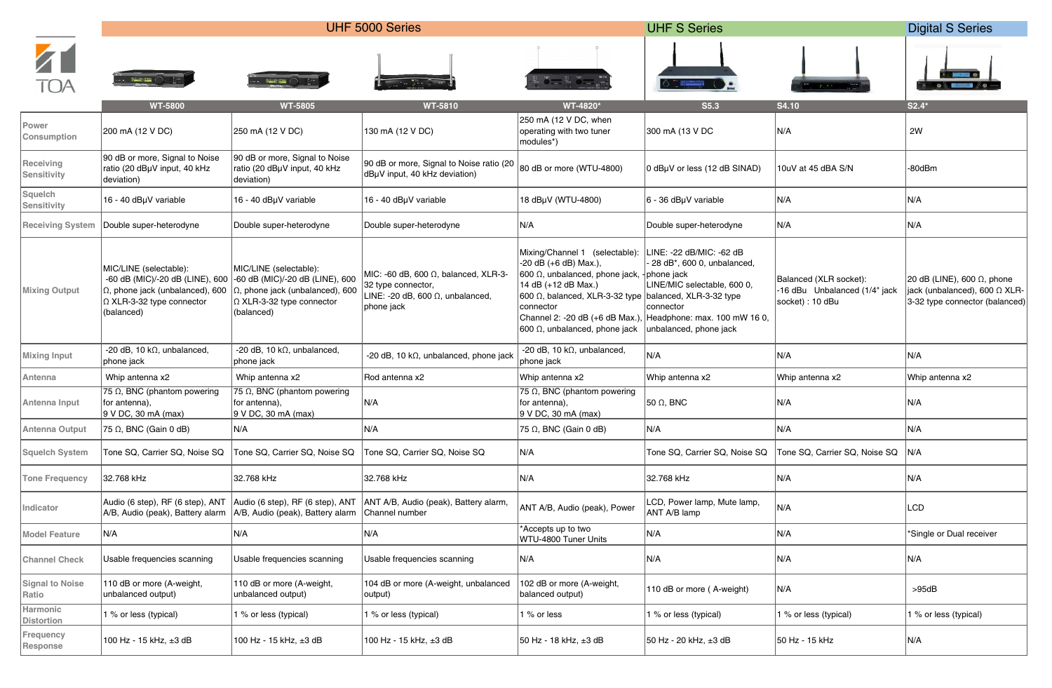|                                 | UHF 5000 Series                                                                                                                                 |                                                                                                                                                 |                                                                                                                              | <b>UHF S Series</b>                                                                                                                                                                                                                                                                          |                                                                                                                                                            |                                                                             | <b>Digital S Series</b>                                                                               |
|---------------------------------|-------------------------------------------------------------------------------------------------------------------------------------------------|-------------------------------------------------------------------------------------------------------------------------------------------------|------------------------------------------------------------------------------------------------------------------------------|----------------------------------------------------------------------------------------------------------------------------------------------------------------------------------------------------------------------------------------------------------------------------------------------|------------------------------------------------------------------------------------------------------------------------------------------------------------|-----------------------------------------------------------------------------|-------------------------------------------------------------------------------------------------------|
|                                 |                                                                                                                                                 |                                                                                                                                                 |                                                                                                                              |                                                                                                                                                                                                                                                                                              |                                                                                                                                                            |                                                                             |                                                                                                       |
|                                 | <b>WT-5800</b>                                                                                                                                  | <b>WT-5805</b>                                                                                                                                  | <b>WT-5810</b>                                                                                                               | WT-4820*                                                                                                                                                                                                                                                                                     | S5.3                                                                                                                                                       | <b>S4.10</b>                                                                | $S2.4*$                                                                                               |
| Power<br>Consumption            | 200 mA (12 V DC)                                                                                                                                | 250 mA (12 V DC)                                                                                                                                | 130 mA (12 V DC)                                                                                                             | 250 mA (12 V DC, when<br>operating with two tuner<br>modules*)                                                                                                                                                                                                                               | 300 mA (13 V DC                                                                                                                                            | N/A                                                                         | 2W                                                                                                    |
| Receiving<br>Sensitivity        | 90 dB or more, Signal to Noise<br>ratio (20 dBµV input, 40 kHz<br>deviation)                                                                    | 90 dB or more, Signal to Noise<br>ratio (20 dBµV input, 40 kHz<br>deviation)                                                                    | 90 dB or more, Signal to Noise ratio (20<br>dBµV input, 40 kHz deviation)                                                    | 80 dB or more (WTU-4800)                                                                                                                                                                                                                                                                     | 0 dBµV or less (12 dB SINAD)                                                                                                                               | 10uV at 45 dBA S/N                                                          | -80dBm                                                                                                |
| Squelch<br>Sensitivity          | 16 - 40 dBµV variable                                                                                                                           | 16 - 40 dBµV variable                                                                                                                           | 16 - 40 dBµV variable                                                                                                        | 18 dBuV (WTU-4800)                                                                                                                                                                                                                                                                           | 6 - 36 dBµV variable                                                                                                                                       | N/A                                                                         | N/A                                                                                                   |
| <b>Receiving System</b>         | Double super-heterodyne                                                                                                                         | Double super-heterodyne                                                                                                                         | Double super-heterodyne                                                                                                      | N/A                                                                                                                                                                                                                                                                                          | Double super-heterodyne                                                                                                                                    | N/A                                                                         | N/A                                                                                                   |
| <b>Mixing Output</b>            | MIC/LINE (selectable):<br>-60 dB (MIC)/-20 dB (LINE), 600<br>$\Omega$ , phone jack (unbalanced), 600<br>Ω XLR-3-32 type connector<br>(balanced) | MIC/LINE (selectable):<br>-60 dB (MIC)/-20 dB (LINE), 600<br>$\Omega$ , phone jack (unbalanced), 600<br>Ω XLR-3-32 type connector<br>(balanced) | MIC: -60 dB, 600 $\Omega$ , balanced, XLR-3-<br>32 type connector,<br>LINE: -20 dB, 600 $\Omega$ , unbalanced,<br>phone jack | Mixing/Channel 1 (selectable):<br>-20 dB (+6 dB) Max.),<br>$ 600 \Omega$ , unbalanced, phone jack, $ $ phone jack<br> 14 dB (+12 dB Max.)<br>600 Ω, balanced, XLR-3-32 type balanced, XLR-3-32 type<br>connector<br>Channel 2: -20 dB (+6 dB Max.)<br>$ 600 \Omega$ , unbalanced, phone jack | INE: -22 dB/MIC: -62 dB<br>28 dB*, 600 0, unbalanced,<br>INE/MIC selectable, 600 0,<br>connector<br>Headphone: max. 100 mW 16 0,<br>unbalanced, phone jack | Balanced (XLR socket):<br>-16 dBu Unbalanced (1/4" jack<br>socket) : 10 dBu | 20 dB (LINE), 600 $\Omega$ , phone<br>jack (unbalanced), 600 Ω XLR-<br>3-32 type connector (balanced) |
| <b>Mixing Input</b>             | -20 dB, 10 k $\Omega$ , unbalanced,<br>phone jack                                                                                               | -20 dB, 10 k $\Omega$ , unbalanced,<br>phone jack                                                                                               | -20 dB, 10 k $\Omega$ , unbalanced, phone jack                                                                               | -20 dB, 10 k $\Omega$ , unbalanced,<br>phone jack                                                                                                                                                                                                                                            | N/A                                                                                                                                                        | N/A                                                                         | N/A                                                                                                   |
| Antenna                         | Whip antenna x2                                                                                                                                 | Whip antenna x2                                                                                                                                 | Rod antenna x2                                                                                                               | Whip antenna x2                                                                                                                                                                                                                                                                              | Whip antenna x2                                                                                                                                            | Whip antenna x2                                                             | Whip antenna x2                                                                                       |
| Antenna Input                   | 75 $\Omega$ , BNC (phantom powering<br>for antenna),<br>9 V DC, 30 mA (max)                                                                     | 75 $\Omega$ , BNC (phantom powering<br>for antenna),<br>9 V DC, 30 mA (max)                                                                     | N/A                                                                                                                          | 75 $\Omega$ , BNC (phantom powering<br>for antenna),<br>9 V DC, 30 mA (max)                                                                                                                                                                                                                  | 50 $\Omega$ , BNC                                                                                                                                          | N/A                                                                         | N/A                                                                                                   |
| Antenna Output                  | 75 Ω, BNC (Gain 0 dB)                                                                                                                           | N/A                                                                                                                                             | N/A                                                                                                                          | $ 75 \Omega$ , BNC (Gain 0 dB)                                                                                                                                                                                                                                                               | N/A                                                                                                                                                        | N/A                                                                         | N/A                                                                                                   |
| <b>Squelch System</b>           | Tone SQ, Carrier SQ, Noise SQ                                                                                                                   | Tone SQ, Carrier SQ, Noise SQ                                                                                                                   | Tone SQ, Carrier SQ, Noise SQ                                                                                                | N/A                                                                                                                                                                                                                                                                                          | Tone SQ, Carrier SQ, Noise SQ                                                                                                                              | Tone SQ, Carrier SQ, Noise SQ                                               | N/A                                                                                                   |
| <b>Tone Frequency</b>           | 32.768 kHz                                                                                                                                      | 32.768 kHz                                                                                                                                      | 32.768 kHz                                                                                                                   | N/A                                                                                                                                                                                                                                                                                          | 32.768 kHz                                                                                                                                                 | N/A                                                                         | N/A                                                                                                   |
| Indicator                       | Audio (6 step), RF (6 step), ANT<br>A/B, Audio (peak), Battery alarm   A/B, Audio (peak), Battery alarm   Channel number                        | Audio (6 step), RF (6 step), ANT                                                                                                                | ANT A/B, Audio (peak), Battery alarm,                                                                                        | ANT A/B, Audio (peak), Power                                                                                                                                                                                                                                                                 | LCD, Power lamp, Mute lamp,<br>ANT A/B lamp                                                                                                                | N/A                                                                         | LCD                                                                                                   |
| <b>Model Feature</b>            | N/A                                                                                                                                             | N/A                                                                                                                                             | N/A                                                                                                                          | *Accepts up to two<br>WTU-4800 Tuner Units                                                                                                                                                                                                                                                   | N/A                                                                                                                                                        | N/A                                                                         | *Single or Dual receiver                                                                              |
| <b>Channel Check</b>            | Usable frequencies scanning                                                                                                                     | Usable frequencies scanning                                                                                                                     | Usable frequencies scanning                                                                                                  | N/A                                                                                                                                                                                                                                                                                          | N/A                                                                                                                                                        | N/A                                                                         | N/A                                                                                                   |
| <b>Signal to Noise</b><br>Ratio | 110 dB or more (A-weight,<br>unbalanced output)                                                                                                 | 110 dB or more (A-weight,<br>unbalanced output)                                                                                                 | 104 dB or more (A-weight, unbalanced<br>output)                                                                              | 102 dB or more (A-weight,<br>balanced output)                                                                                                                                                                                                                                                | 110 dB or more (A-weight)                                                                                                                                  | N/A                                                                         | >95dB                                                                                                 |
| Harmonic<br><b>Distortion</b>   | % or less (typical)                                                                                                                             | 1 % or less (typical)                                                                                                                           | % or less (typical)                                                                                                          | 1 % or less                                                                                                                                                                                                                                                                                  | 1 % or less (typical)                                                                                                                                      | 1 % or less (typical)                                                       | 1 % or less (typical)                                                                                 |
| Frequency<br>Response           | 100 Hz - 15 kHz, ±3 dB                                                                                                                          | 100 Hz - 15 kHz, ±3 dB                                                                                                                          | 100 Hz - 15 kHz, ±3 dB                                                                                                       | 50 Hz - 18 kHz, ±3 dB                                                                                                                                                                                                                                                                        | 50 Hz - 20 kHz, ±3 dB                                                                                                                                      | 50 Hz - 15 kHz                                                              | N/A                                                                                                   |